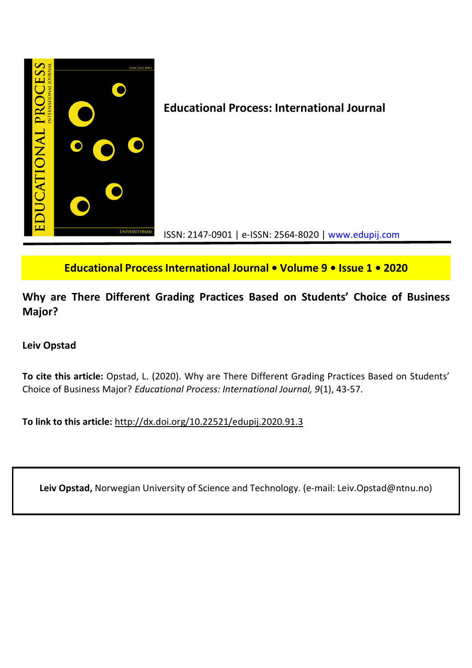

**Educational Process International Journal • Volume 9 • Issue 1 • 2020**

**Why are There Different Grading Practices Based on Students' Choice of Business Major?**

# **Leiv Opstad**

**To cite this article:** Opstad, L. (2020). Why are There Different Grading Practices Based on Students' Choice of Business Major? *Educational Process: International Journal, 9*(1), 43-57.

**To link to this article:** http://dx.doi.org/10.22521/edupij.2020.91.3

**Leiv Opstad,** Norwegian University of Science and Technology. (e-mail: Leiv.Opstad@ntnu.no)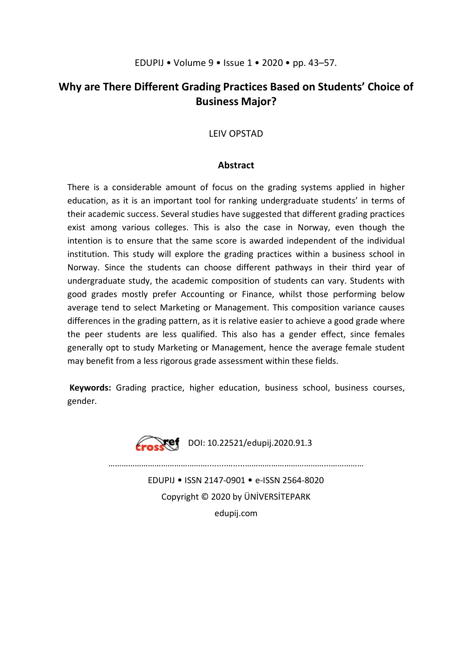# **Why are There Different Grading Practices Based on Students' Choice of Business Major?**

# LEIV OPSTAD

## **Abstract**

There is a considerable amount of focus on the grading systems applied in higher education, as it is an important tool for ranking undergraduate students' in terms of their academic success. Several studies have suggested that different grading practices exist among various colleges. This is also the case in Norway, even though the intention is to ensure that the same score is awarded independent of the individual institution. This study will explore the grading practices within a business school in Norway. Since the students can choose different pathways in their third year of undergraduate study, the academic composition of students can vary. Students with good grades mostly prefer Accounting or Finance, whilst those performing below average tend to select Marketing or Management. This composition variance causes differences in the grading pattern, as it is relative easier to achieve a good grade where the peer students are less qualified. This also has a gender effect, since females generally opt to study Marketing or Management, hence the average female student may benefit from a less rigorous grade assessment within these fields.

**Keywords:** Grading practice, higher education, business school, business courses, gender.



 $\sum$ **Xef** DOI: 10.22521/edupij.2020.91.3

………………………………………........….....………………………………...……………

EDUPIJ • ISSN 2147-0901 • e-ISSN 2564-8020 Copyright © 2020 by ÜNİVERSİTEPARK edupij.com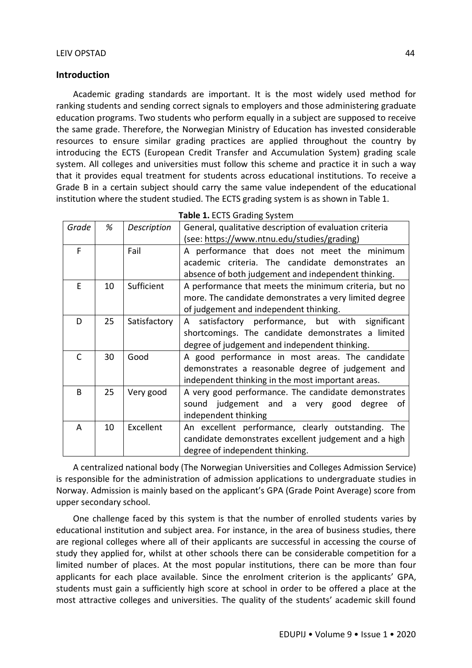## **Introduction**

Academic grading standards are important. It is the most widely used method for ranking students and sending correct signals to employers and those administering graduate education programs. Two students who perform equally in a subject are supposed to receive the same grade. Therefore, the Norwegian Ministry of Education has invested considerable resources to ensure similar grading practices are applied throughout the country by introducing the ECTS (European Credit Transfer and Accumulation System) grading scale system. All colleges and universities must follow this scheme and practice it in such a way that it provides equal treatment for students across educational institutions. To receive a Grade B in a certain subject should carry the same value independent of the educational institution where the student studied. The ECTS grading system is as shown in Table 1.

|       |    |              | $\epsilon$ = $\epsilon$ = $\epsilon$ = $\epsilon$ = $\epsilon$ = $\epsilon$ = $\epsilon$ = $\epsilon$ = $\epsilon$ = $\epsilon$ = $\epsilon$ = $\epsilon$ = $\epsilon$ = $\epsilon$ = $\epsilon$ = $\epsilon$ = $\epsilon$ = $\epsilon$ = $\epsilon$ = $\epsilon$ = $\epsilon$ = $\epsilon$ = $\epsilon$ = $\epsilon$ = $\epsilon$ = $\epsilon$ = $\epsilon$ = $\epsilon$ = $\epsilon$ = $\epsilon$ = $\epsilon$ = $\epsilon$ |  |  |  |  |  |  |
|-------|----|--------------|-------------------------------------------------------------------------------------------------------------------------------------------------------------------------------------------------------------------------------------------------------------------------------------------------------------------------------------------------------------------------------------------------------------------------------|--|--|--|--|--|--|
| Grade | %  | Description  | General, qualitative description of evaluation criteria                                                                                                                                                                                                                                                                                                                                                                       |  |  |  |  |  |  |
|       |    |              | (see: https://www.ntnu.edu/studies/grading)                                                                                                                                                                                                                                                                                                                                                                                   |  |  |  |  |  |  |
| F     |    | Fail         | A performance that does not meet the minimum                                                                                                                                                                                                                                                                                                                                                                                  |  |  |  |  |  |  |
|       |    |              | academic criteria. The candidate demonstrates an                                                                                                                                                                                                                                                                                                                                                                              |  |  |  |  |  |  |
|       |    |              | absence of both judgement and independent thinking.                                                                                                                                                                                                                                                                                                                                                                           |  |  |  |  |  |  |
| F     | 10 | Sufficient   | A performance that meets the minimum criteria, but no                                                                                                                                                                                                                                                                                                                                                                         |  |  |  |  |  |  |
|       |    |              | more. The candidate demonstrates a very limited degree                                                                                                                                                                                                                                                                                                                                                                        |  |  |  |  |  |  |
|       |    |              | of judgement and independent thinking.                                                                                                                                                                                                                                                                                                                                                                                        |  |  |  |  |  |  |
| D     | 25 | Satisfactory | satisfactory performance, but with significant<br>A                                                                                                                                                                                                                                                                                                                                                                           |  |  |  |  |  |  |
|       |    |              | shortcomings. The candidate demonstrates a limited                                                                                                                                                                                                                                                                                                                                                                            |  |  |  |  |  |  |
|       |    |              | degree of judgement and independent thinking.                                                                                                                                                                                                                                                                                                                                                                                 |  |  |  |  |  |  |
| C     | 30 | Good         | A good performance in most areas. The candidate                                                                                                                                                                                                                                                                                                                                                                               |  |  |  |  |  |  |
|       |    |              | demonstrates a reasonable degree of judgement and                                                                                                                                                                                                                                                                                                                                                                             |  |  |  |  |  |  |
|       |    |              | independent thinking in the most important areas.                                                                                                                                                                                                                                                                                                                                                                             |  |  |  |  |  |  |
| B     | 25 | Very good    | A very good performance. The candidate demonstrates                                                                                                                                                                                                                                                                                                                                                                           |  |  |  |  |  |  |
|       |    |              | sound judgement and a very good degree<br>0f                                                                                                                                                                                                                                                                                                                                                                                  |  |  |  |  |  |  |
|       |    |              | independent thinking                                                                                                                                                                                                                                                                                                                                                                                                          |  |  |  |  |  |  |
| A     | 10 | Excellent    | An excellent performance, clearly outstanding.<br>The                                                                                                                                                                                                                                                                                                                                                                         |  |  |  |  |  |  |
|       |    |              | candidate demonstrates excellent judgement and a high                                                                                                                                                                                                                                                                                                                                                                         |  |  |  |  |  |  |
|       |    |              | degree of independent thinking.                                                                                                                                                                                                                                                                                                                                                                                               |  |  |  |  |  |  |

|  |  | Table 1. ECTS Grading System |  |
|--|--|------------------------------|--|
|--|--|------------------------------|--|

A centralized national body (The Norwegian Universities and Colleges Admission Service) is responsible for the administration of admission applications to undergraduate studies in Norway. Admission is mainly based on the applicant's GPA (Grade Point Average) score from upper secondary school.

One challenge faced by this system is that the number of enrolled students varies by educational institution and subject area. For instance, in the area of business studies, there are regional colleges where all of their applicants are successful in accessing the course of study they applied for, whilst at other schools there can be considerable competition for a limited number of places. At the most popular institutions, there can be more than four applicants for each place available. Since the enrolment criterion is the applicants' GPA, students must gain a sufficiently high score at school in order to be offered a place at the most attractive colleges and universities. The quality of the students' academic skill found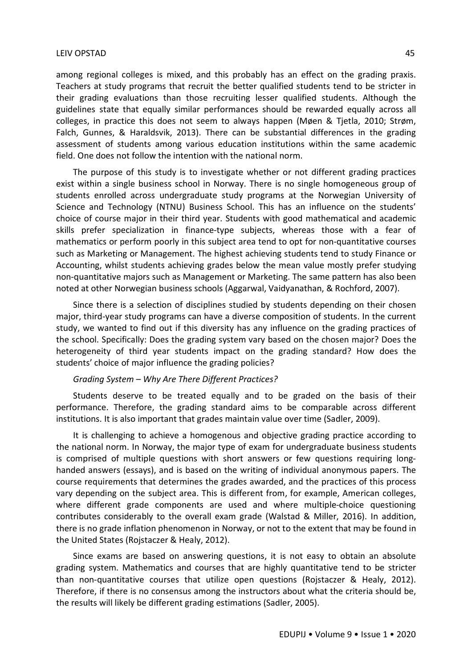among regional colleges is mixed, and this probably has an effect on the grading praxis. Teachers at study programs that recruit the better qualified students tend to be stricter in their grading evaluations than those recruiting lesser qualified students. Although the guidelines state that equally similar performances should be rewarded equally across all colleges, in practice this does not seem to always happen (Møen & Tjetla, 2010; Strøm, Falch, Gunnes, & Haraldsvik, 2013). There can be substantial differences in the grading assessment of students among various education institutions within the same academic field. One does not follow the intention with the national norm.

The purpose of this study is to investigate whether or not different grading practices exist within a single business school in Norway. There is no single homogeneous group of students enrolled across undergraduate study programs at the Norwegian University of Science and Technology (NTNU) Business School. This has an influence on the students' choice of course major in their third year. Students with good mathematical and academic skills prefer specialization in finance-type subjects, whereas those with a fear of mathematics or perform poorly in this subject area tend to opt for non-quantitative courses such as Marketing or Management. The highest achieving students tend to study Finance or Accounting, whilst students achieving grades below the mean value mostly prefer studying non-quantitative majors such as Management or Marketing. The same pattern has also been noted at other Norwegian business schools (Aggarwal, Vaidyanathan, & Rochford, 2007).

Since there is a selection of disciplines studied by students depending on their chosen major, third-year study programs can have a diverse composition of students. In the current study, we wanted to find out if this diversity has any influence on the grading practices of the school. Specifically: Does the grading system vary based on the chosen major? Does the heterogeneity of third year students impact on the grading standard? How does the students' choice of major influence the grading policies?

## *Grading System – Why Are There Different Practices?*

Students deserve to be treated equally and to be graded on the basis of their performance. Therefore, the grading standard aims to be comparable across different institutions. It is also important that grades maintain value over time (Sadler, 2009).

It is challenging to achieve a homogenous and objective grading practice according to the national norm. In Norway, the major type of exam for undergraduate business students is comprised of multiple questions with short answers or few questions requiring longhanded answers (essays), and is based on the writing of individual anonymous papers. The course requirements that determines the grades awarded, and the practices of this process vary depending on the subject area. This is different from, for example, American colleges, where different grade components are used and where multiple-choice questioning contributes considerably to the overall exam grade (Walstad & Miller, 2016). In addition, there is no grade inflation phenomenon in Norway, or not to the extent that may be found in the United States (Rojstaczer & Healy, 2012).

Since exams are based on answering questions, it is not easy to obtain an absolute grading system. Mathematics and courses that are highly quantitative tend to be stricter than non-quantitative courses that utilize open questions (Rojstaczer & Healy, 2012). Therefore, if there is no consensus among the instructors about what the criteria should be, the results will likely be different grading estimations (Sadler, 2005).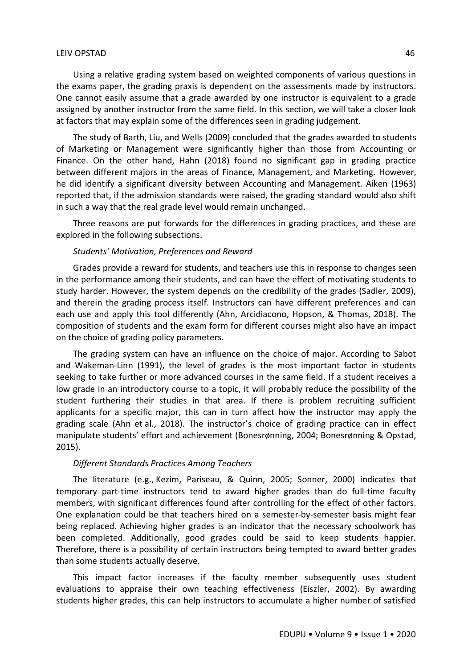Using a relative grading system based on weighted components of various questions in the exams paper, the grading praxis is dependent on the assessments made by instructors. One cannot easily assume that a grade awarded by one instructor is equivalent to a grade assigned by another instructor from the same field. In this section, we will take a closer look at factors that may explain some of the differences seen in grading judgement.

The study of Barth, Liu, and Wells (2009) concluded that the grades awarded to students of Marketing or Management were significantly higher than those from Accounting or Finance. On the other hand, Hahn (2018) found no significant gap in grading practice between different majors in the areas of Finance, Management, and Marketing. However, he did identify a significant diversity between Accounting and Management. Aiken (1963) reported that, if the admission standards were raised, the grading standard would also shift in such a way that the real grade level would remain unchanged.

Three reasons are put forwards for the differences in grading practices, and these are explored in the following subsections.

#### *Students' Motivation, Preferences and Reward*

Grades provide a reward for students, and teachers use this in response to changes seen in the performance among their students, and can have the effect of motivating students to study harder. However, the system depends on the credibility of the grades (Sadler, 2009), and therein the grading process itself. Instructors can have different preferences and can each use and apply this tool differently (Ahn, Arcidiacono, Hopson, & Thomas, 2018). The composition of students and the exam form for different courses might also have an impact on the choice of grading policy parameters.

The grading system can have an influence on the choice of major. According to Sabot and Wakeman-Linn (1991), the level of grades is the most important factor in students seeking to take further or more advanced courses in the same field. If a student receives a low grade in an introductory course to a topic, it will probably reduce the possibility of the student furthering their studies in that area. If there is problem recruiting sufficient applicants for a specific major, this can in turn affect how the instructor may apply the grading scale (Ahn et al., 2018). The instructor's choice of grading practice can in effect manipulate students' effort and achievement (Bonesrønning, 2004; Bonesrønning & Opstad, 2015).

## *Different Standards Practices Among Teachers*

The literature (e.g., Kezim, Pariseau, & Quinn, 2005; Sonner, 2000) indicates that temporary part-time instructors tend to award higher grades than do full-time faculty members, with significant differences found after controlling for the effect of other factors. One explanation could be that teachers hired on a semester-by-semester basis might fear being replaced. Achieving higher grades is an indicator that the necessary schoolwork has been completed. Additionally, good grades could be said to keep students happier. Therefore, there is a possibility of certain instructors being tempted to award better grades than some students actually deserve.

This impact factor increases if the faculty member subsequently uses student evaluations to appraise their own teaching effectiveness (Eiszler, 2002). By awarding students higher grades, this can help instructors to accumulate a higher number of satisfied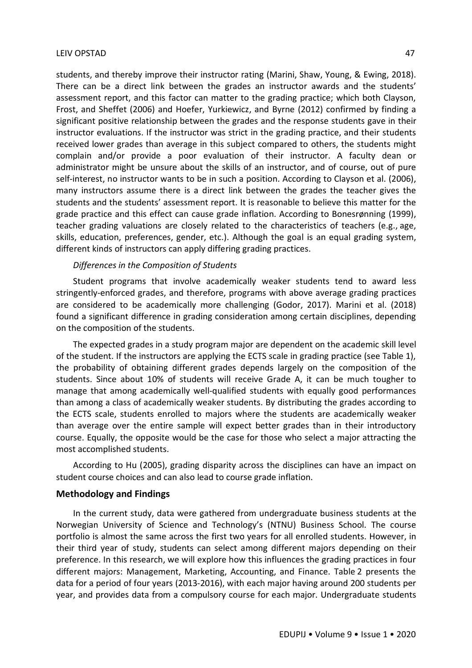students, and thereby improve their instructor rating (Marini, Shaw, Young, & Ewing, 2018). There can be a direct link between the grades an instructor awards and the students' assessment report, and this factor can matter to the grading practice; which both Clayson, Frost, and Sheffet (2006) and Hoefer, Yurkiewicz, and Byrne (2012) confirmed by finding a significant positive relationship between the grades and the response students gave in their instructor evaluations. If the instructor was strict in the grading practice, and their students received lower grades than average in this subject compared to others, the students might complain and/or provide a poor evaluation of their instructor. A faculty dean or administrator might be unsure about the skills of an instructor, and of course, out of pure self-interest, no instructor wants to be in such a position. According to Clayson et al. (2006), many instructors assume there is a direct link between the grades the teacher gives the students and the students' assessment report. It is reasonable to believe this matter for the grade practice and this effect can cause grade inflation. According to Bonesrønning (1999), teacher grading valuations are closely related to the characteristics of teachers (e.g., age, skills, education, preferences, gender, etc.). Although the goal is an equal grading system, different kinds of instructors can apply differing grading practices.

## *Differences in the Composition of Students*

Student programs that involve academically weaker students tend to award less stringently-enforced grades, and therefore, programs with above average grading practices are considered to be academically more challenging (Godor, 2017). Marini et al. (2018) found a significant difference in grading consideration among certain disciplines, depending on the composition of the students.

The expected grades in a study program major are dependent on the academic skill level of the student. If the instructors are applying the ECTS scale in grading practice (see Table 1), the probability of obtaining different grades depends largely on the composition of the students. Since about 10% of students will receive Grade A, it can be much tougher to manage that among academically well-qualified students with equally good performances than among a class of academically weaker students. By distributing the grades according to the ECTS scale, students enrolled to majors where the students are academically weaker than average over the entire sample will expect better grades than in their introductory course. Equally, the opposite would be the case for those who select a major attracting the most accomplished students.

According to Hu (2005), grading disparity across the disciplines can have an impact on student course choices and can also lead to course grade inflation.

## **Methodology and Findings**

In the current study, data were gathered from undergraduate business students at the Norwegian University of Science and Technology's (NTNU) Business School. The course portfolio is almost the same across the first two years for all enrolled students. However, in their third year of study, students can select among different majors depending on their preference. In this research, we will explore how this influences the grading practices in four different majors: Management, Marketing, Accounting, and Finance. Table 2 presents the data for a period of four years (2013-2016), with each major having around 200 students per year, and provides data from a compulsory course for each major. Undergraduate students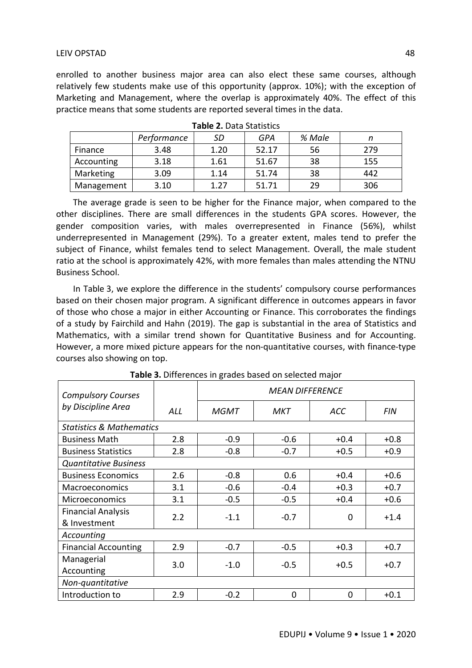enrolled to another business major area can also elect these same courses, although relatively few students make use of this opportunity (approx. 10%); with the exception of Marketing and Management, where the overlap is approximately 40%. The effect of this practice means that some students are reported several times in the data.

|            | Performance | SD   | GPA   | % Male |     |  |  |  |  |
|------------|-------------|------|-------|--------|-----|--|--|--|--|
| Finance    | 3.48        | 1.20 | 52.17 | 56     | 279 |  |  |  |  |
| Accounting | 3.18        | 1.61 | 51.67 | 38     | 155 |  |  |  |  |
| Marketing  | 3.09        | 1.14 | 51.74 | 38     | 442 |  |  |  |  |
| Management | 3.10        | 1.27 | 51.71 | 29     | 306 |  |  |  |  |

|  |  |  |  | Table 2. Data Statistics |
|--|--|--|--|--------------------------|
|--|--|--|--|--------------------------|

The average grade is seen to be higher for the Finance major, when compared to the other disciplines. There are small differences in the students GPA scores. However, the gender composition varies, with males overrepresented in Finance (56%), whilst underrepresented in Management (29%). To a greater extent, males tend to prefer the subject of Finance, whilst females tend to select Management. Overall, the male student ratio at the school is approximately 42%, with more females than males attending the NTNU Business School.

In Table 3, we explore the difference in the students' compulsory course performances based on their chosen major program. A significant difference in outcomes appears in favor of those who chose a major in either Accounting or Finance. This corroborates the findings of a study by Fairchild and Hahn (2019). The gap is substantial in the area of Statistics and Mathematics, with a similar trend shown for Quantitative Business and for Accounting. However, a more mixed picture appears for the non-quantitative courses, with finance-type courses also showing on top.

| <b>Compulsory Courses</b>                 |     | <b>MEAN DIFFERENCE</b> |        |          |            |  |  |
|-------------------------------------------|-----|------------------------|--------|----------|------------|--|--|
| by Discipline Area                        | ALL | <b>MGMT</b>            | МКТ    | ACC      | <b>FIN</b> |  |  |
| <b>Statistics &amp; Mathematics</b>       |     |                        |        |          |            |  |  |
| <b>Business Math</b>                      | 2.8 | $-0.9$                 | $-0.6$ | $+0.4$   | $+0.8$     |  |  |
| <b>Business Statistics</b>                | 2.8 | $-0.8$                 | $-0.7$ | $+0.5$   | $+0.9$     |  |  |
| <b>Quantitative Business</b>              |     |                        |        |          |            |  |  |
| <b>Business Economics</b>                 | 2.6 | $-0.8$                 | 0.6    | $+0.4$   | $+0.6$     |  |  |
| <b>Macroeconomics</b>                     | 3.1 | $-0.6$                 | $-0.4$ | $+0.3$   | $+0.7$     |  |  |
| <b>Microeconomics</b>                     | 3.1 | $-0.5$                 | $-0.5$ | $+0.4$   | $+0.6$     |  |  |
| <b>Financial Analysis</b><br>& Investment | 2.2 | $-1.1$                 | $-0.7$ | $\Omega$ | $+1.4$     |  |  |
| Accounting                                |     |                        |        |          |            |  |  |
| <b>Financial Accounting</b>               | 2.9 | $-0.7$                 | $-0.5$ | $+0.3$   | $+0.7$     |  |  |
| Managerial                                | 3.0 | $-1.0$                 | $-0.5$ | $+0.5$   | $+0.7$     |  |  |
| Accounting<br>Non-quantitative            |     |                        |        |          |            |  |  |
| Introduction to                           | 2.9 | $-0.2$                 | 0      | $\Omega$ | $+0.1$     |  |  |

**Table 3.** Differences in grades based on selected major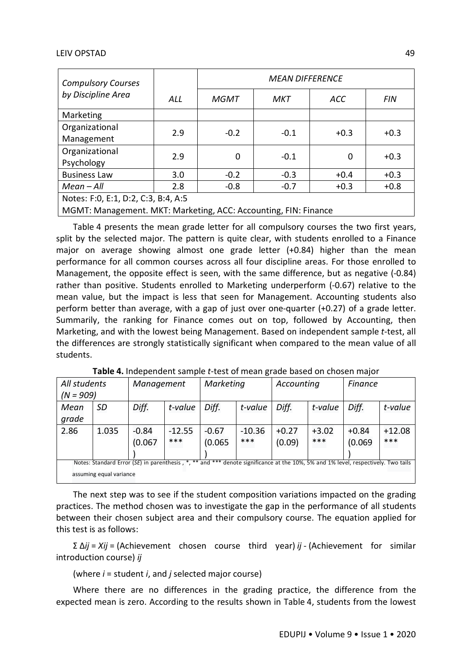| <b>Compulsory Courses</b>                                       |            | <b>MEAN DIFFERENCE</b> |        |        |            |  |  |  |
|-----------------------------------------------------------------|------------|------------------------|--------|--------|------------|--|--|--|
| by Discipline Area                                              | <b>ALL</b> | <b>MGMT</b>            | МКТ    | ACC    | <b>FIN</b> |  |  |  |
| Marketing                                                       |            |                        |        |        |            |  |  |  |
| Organizational                                                  | 2.9        | $-0.2$                 | $-0.1$ | $+0.3$ | $+0.3$     |  |  |  |
| Management                                                      |            |                        |        |        |            |  |  |  |
| Organizational                                                  | 2.9        | 0                      | $-0.1$ | 0      | $+0.3$     |  |  |  |
| Psychology                                                      |            |                        |        |        |            |  |  |  |
| <b>Business Law</b>                                             | 3.0        | $-0.2$                 | $-0.3$ | $+0.4$ | $+0.3$     |  |  |  |
| $Mean - All$                                                    | 2.8        | $-0.8$                 | $-0.7$ | $+0.3$ | $+0.8$     |  |  |  |
| Notes: F:0, E:1, D:2, C:3, B:4, A:5                             |            |                        |        |        |            |  |  |  |
| MGMT: Management. MKT: Marketing, ACC: Accounting, FIN: Finance |            |                        |        |        |            |  |  |  |

Table 4 presents the mean grade letter for all compulsory courses the two first years, split by the selected major. The pattern is quite clear, with students enrolled to a Finance major on average showing almost one grade letter (+0.84) higher than the mean performance for all common courses across all four discipline areas. For those enrolled to Management, the opposite effect is seen, with the same difference, but as negative (-0.84) rather than positive. Students enrolled to Marketing underperform (-0.67) relative to the mean value, but the impact is less that seen for Management. Accounting students also perform better than average, with a gap of just over one-quarter (+0.27) of a grade letter. Summarily, the ranking for Finance comes out on top, followed by Accounting, then Marketing, and with the lowest being Management. Based on independent sample *t*-test, all the differences are strongly statistically significant when compared to the mean value of all students.

| All students |                                                                                                                                  | Management |          | Marketing |          | Accounting |         | Finance |          |
|--------------|----------------------------------------------------------------------------------------------------------------------------------|------------|----------|-----------|----------|------------|---------|---------|----------|
| $(N = 909)$  |                                                                                                                                  |            |          |           |          |            |         |         |          |
| Mean         | <b>SD</b>                                                                                                                        | Diff.      | t-value  | Diff.     | t-value  | Diff.      | t-value | Diff.   | t-value  |
| grade        |                                                                                                                                  |            |          |           |          |            |         |         |          |
| 2.86         | 1.035                                                                                                                            | $-0.84$    | $-12.55$ | $-0.67$   | $-10.36$ | $+0.27$    | $+3.02$ | $+0.84$ | $+12.08$ |
|              |                                                                                                                                  | (0.067)    | ***      | (0.065)   | ***      | (0.09)     | ***     | (0.069) | ***      |
|              |                                                                                                                                  |            |          |           |          |            |         |         |          |
|              | Notes: Standard Error (SE) in parenthesis, *,** and *** denote significance at the 10%, 5% and 1% level, respectively. Two tails |            |          |           |          |            |         |         |          |
|              | assuming equal variance                                                                                                          |            |          |           |          |            |         |         |          |

**Table 4.** Independent sample *t*-test of mean grade based on chosen major

The next step was to see if the student composition variations impacted on the grading practices. The method chosen was to investigate the gap in the performance of all students between their chosen subject area and their compulsory course. The equation applied for this test is as follows:

Σ Δ*ij* = *Xij* = (Achievement chosen course third year) *ij* - (Achievement for similar introduction course) *ij*

(where *i* = student *i*, and *j* selected major course)

Where there are no differences in the grading practice, the difference from the expected mean is zero. According to the results shown in Table 4, students from the lowest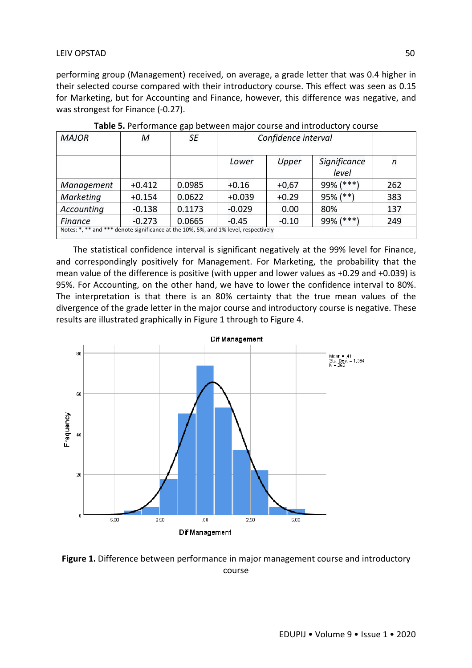performing group (Management) received, on average, a grade letter that was 0.4 higher in their selected course compared with their introductory course. This effect was seen as 0.15 for Marketing, but for Accounting and Finance, however, this difference was negative, and was strongest for Finance (-0.27).

| <b>MAJOR</b>                                                                        | М        | SE     | Confidence interval                     |         |           |                  |  |
|-------------------------------------------------------------------------------------|----------|--------|-----------------------------------------|---------|-----------|------------------|--|
|                                                                                     |          |        | Significance<br>Upper<br>Lower<br>level |         |           | $\boldsymbol{n}$ |  |
| Management                                                                          | $+0.412$ | 0.0985 | $+0.16$                                 | $+0,67$ | 99% (***) | 262              |  |
| Marketing                                                                           | $+0.154$ | 0.0622 | $+0.039$                                | $+0.29$ | 95% (**)  | 383              |  |
| Accounting                                                                          | $-0.138$ | 0.1173 | $-0.029$                                | 0.00    | 80%       | 137              |  |
| Finance                                                                             | $-0.273$ | 0.0665 | 99% (***)<br>249<br>$-0.10$<br>$-0.45$  |         |           |                  |  |
| Notes: *, ** and *** denote significance at the 10%, 5%, and 1% level, respectively |          |        |                                         |         |           |                  |  |

**Table 5.** Performance gap between major course and introductory course

The statistical confidence interval is significant negatively at the 99% level for Finance, and correspondingly positively for Management. For Marketing, the probability that the mean value of the difference is positive (with upper and lower values as +0.29 and +0.039) is 95%. For Accounting, on the other hand, we have to lower the confidence interval to 80%. The interpretation is that there is an 80% certainty that the true mean values of the divergence of the grade letter in the major course and introductory course is negative. These results are illustrated graphically in Figure 1 through to Figure 4.



**Figure 1.** Difference between performance in major management course and introductory course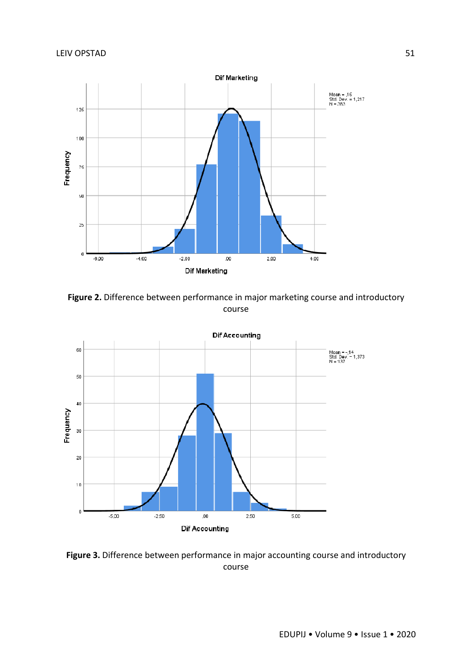

**Figure 2.** Difference between performance in major marketing course and introductory course



Figure 3. Difference between performance in major accounting course and introductory course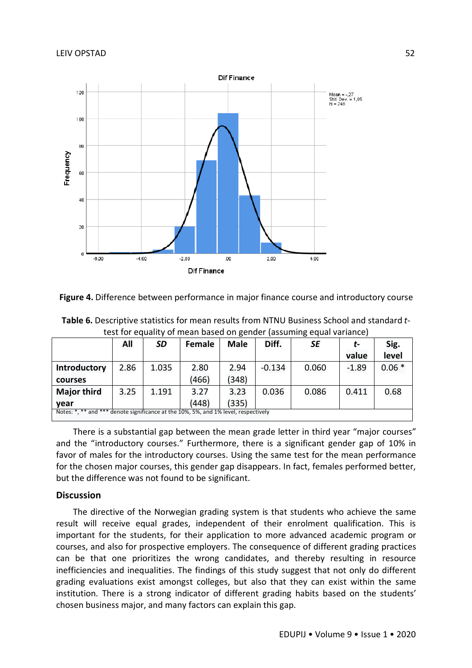



**Table 6.** Descriptive statistics for mean results from NTNU Business School and standard *t*test for equality of mean based on gender (assuming equal variance)

|                                                                                     | All  | SD    | <b>Female</b> | <b>Male</b> | Diff.    | SE    | t-      | Sig.    |  |
|-------------------------------------------------------------------------------------|------|-------|---------------|-------------|----------|-------|---------|---------|--|
|                                                                                     |      |       |               |             |          |       | value   | level   |  |
| <b>Introductory</b>                                                                 | 2.86 | 1.035 | 2.80          | 2.94        | $-0.134$ | 0.060 | $-1.89$ | $0.06*$ |  |
| courses                                                                             |      |       | (466)         | (348)       |          |       |         |         |  |
| <b>Major third</b>                                                                  | 3.25 | 1.191 | 3.27          | 3.23        | 0.036    | 0.086 | 0.411   | 0.68    |  |
| year                                                                                |      |       | (448)         | (335)       |          |       |         |         |  |
| Notes: *, ** and *** denote significance at the 10%, 5%, and 1% level, respectively |      |       |               |             |          |       |         |         |  |

There is a substantial gap between the mean grade letter in third year "major courses" and the "introductory courses." Furthermore, there is a significant gender gap of 10% in favor of males for the introductory courses. Using the same test for the mean performance for the chosen major courses, this gender gap disappears. In fact, females performed better, but the difference was not found to be significant.

# **Discussion**

The directive of the Norwegian grading system is that students who achieve the same result will receive equal grades, independent of their enrolment qualification. This is important for the students, for their application to more advanced academic program or courses, and also for prospective employers. The consequence of different grading practices can be that one prioritizes the wrong candidates, and thereby resulting in resource inefficiencies and inequalities. The findings of this study suggest that not only do different grading evaluations exist amongst colleges, but also that they can exist within the same institution. There is a strong indicator of different grading habits based on the students' chosen business major, and many factors can explain this gap.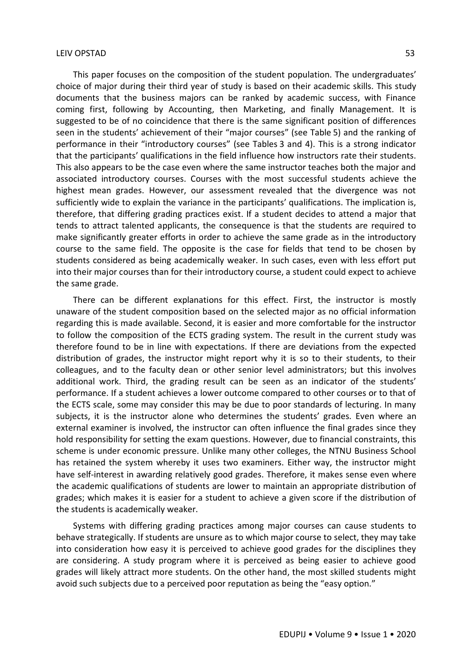This paper focuses on the composition of the student population. The undergraduates' choice of major during their third year of study is based on their academic skills. This study documents that the business majors can be ranked by academic success, with Finance coming first, following by Accounting, then Marketing, and finally Management. It is suggested to be of no coincidence that there is the same significant position of differences seen in the students' achievement of their "major courses" (see Table 5) and the ranking of performance in their "introductory courses" (see Tables 3 and 4). This is a strong indicator that the participants' qualifications in the field influence how instructors rate their students. This also appears to be the case even where the same instructor teaches both the major and associated introductory courses. Courses with the most successful students achieve the highest mean grades. However, our assessment revealed that the divergence was not sufficiently wide to explain the variance in the participants' qualifications. The implication is, therefore, that differing grading practices exist. If a student decides to attend a major that tends to attract talented applicants, the consequence is that the students are required to make significantly greater efforts in order to achieve the same grade as in the introductory course to the same field. The opposite is the case for fields that tend to be chosen by students considered as being academically weaker. In such cases, even with less effort put into their major courses than for their introductory course, a student could expect to achieve the same grade.

There can be different explanations for this effect. First, the instructor is mostly unaware of the student composition based on the selected major as no official information regarding this is made available. Second, it is easier and more comfortable for the instructor to follow the composition of the ECTS grading system. The result in the current study was therefore found to be in line with expectations. If there are deviations from the expected distribution of grades, the instructor might report why it is so to their students, to their colleagues, and to the faculty dean or other senior level administrators; but this involves additional work. Third, the grading result can be seen as an indicator of the students' performance. If a student achieves a lower outcome compared to other courses or to that of the ECTS scale, some may consider this may be due to poor standards of lecturing. In many subjects, it is the instructor alone who determines the students' grades. Even where an external examiner is involved, the instructor can often influence the final grades since they hold responsibility for setting the exam questions. However, due to financial constraints, this scheme is under economic pressure. Unlike many other colleges, the NTNU Business School has retained the system whereby it uses two examiners. Either way, the instructor might have self-interest in awarding relatively good grades. Therefore, it makes sense even where the academic qualifications of students are lower to maintain an appropriate distribution of grades; which makes it is easier for a student to achieve a given score if the distribution of the students is academically weaker.

Systems with differing grading practices among major courses can cause students to behave strategically. If students are unsure as to which major course to select, they may take into consideration how easy it is perceived to achieve good grades for the disciplines they are considering. A study program where it is perceived as being easier to achieve good grades will likely attract more students. On the other hand, the most skilled students might avoid such subjects due to a perceived poor reputation as being the "easy option."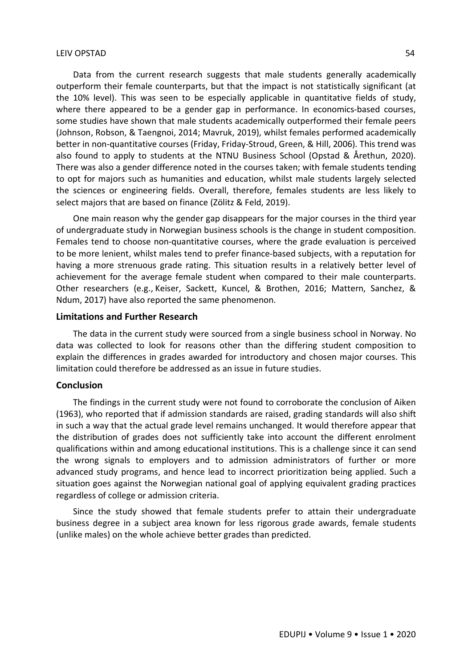Data from the current research suggests that male students generally academically outperform their female counterparts, but that the impact is not statistically significant (at the 10% level). This was seen to be especially applicable in quantitative fields of study, where there appeared to be a gender gap in performance. In economics-based courses, some studies have shown that male students academically outperformed their female peers (Johnson, Robson, & Taengnoi, 2014; Mavruk, 2019), whilst females performed academically better in non-quantitative courses (Friday, Friday-Stroud, Green, & Hill, 2006). This trend was also found to apply to students at the NTNU Business School (Opstad & Årethun, 2020). There was also a gender difference noted in the courses taken; with female students tending to opt for majors such as humanities and education, whilst male students largely selected the sciences or engineering fields. Overall, therefore, females students are less likely to select majors that are based on finance (Zölitz & Feld, 2019).

One main reason why the gender gap disappears for the major courses in the third year of undergraduate study in Norwegian business schools is the change in student composition. Females tend to choose non-quantitative courses, where the grade evaluation is perceived to be more lenient, whilst males tend to prefer finance-based subjects, with a reputation for having a more strenuous grade rating. This situation results in a relatively better level of achievement for the average female student when compared to their male counterparts. Other researchers (e.g., Keiser, Sackett, Kuncel, & Brothen, 2016; Mattern, Sanchez, & Ndum, 2017) have also reported the same phenomenon.

#### **Limitations and Further Research**

The data in the current study were sourced from a single business school in Norway. No data was collected to look for reasons other than the differing student composition to explain the differences in grades awarded for introductory and chosen major courses. This limitation could therefore be addressed as an issue in future studies.

## **Conclusion**

The findings in the current study were not found to corroborate the conclusion of Aiken (1963), who reported that if admission standards are raised, grading standards will also shift in such a way that the actual grade level remains unchanged. It would therefore appear that the distribution of grades does not sufficiently take into account the different enrolment qualifications within and among educational institutions. This is a challenge since it can send the wrong signals to employers and to admission administrators of further or more advanced study programs, and hence lead to incorrect prioritization being applied. Such a situation goes against the Norwegian national goal of applying equivalent grading practices regardless of college or admission criteria.

Since the study showed that female students prefer to attain their undergraduate business degree in a subject area known for less rigorous grade awards, female students (unlike males) on the whole achieve better grades than predicted.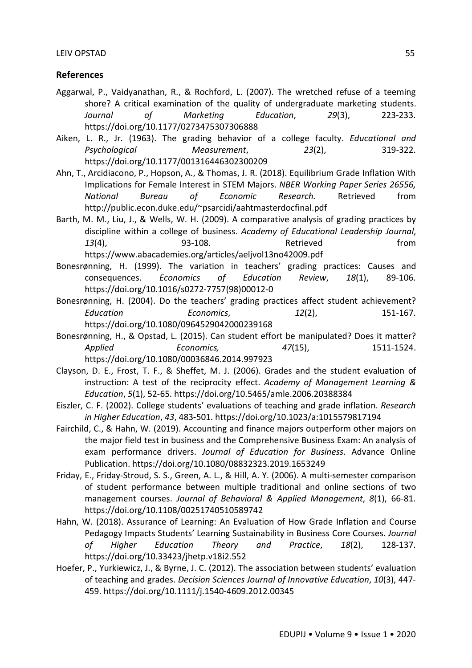## **References**

- Aggarwal, P., Vaidyanathan, R., & Rochford, L. (2007). The wretched refuse of a teeming shore? A critical examination of the quality of undergraduate marketing students. *Journal of Marketing Education*, *29*(3), 223-233. https://doi.org/10.1177/0273475307306888
- Aiken, L. R., Jr. (1963). The grading behavior of a college faculty. *Educational and Psychological Measurement*, *23*(2), 319-322. https://doi.org/10.1177/001316446302300209
- Ahn, T., Arcidiacono, P., Hopson, A., & Thomas, J. R. (2018). Equilibrium Grade Inflation With Implications for Female Interest in STEM Majors. *NBER Working Paper Series 26556, National Bureau of Economic Research.* Retrieved from http://public.econ.duke.edu/~psarcidi/aahtmasterdocfinal.pdf
- Barth, M. M., Liu, J., & Wells, W. H. (2009). A comparative analysis of grading practices by discipline within a college of business. *Academy of Educational Leadership Journal*, 13(4), 93-108. Retrieved from https://www.abacademies.org/articles/aeljvol13no42009.pdf
- Bonesrønning, H. (1999). The variation in teachers' grading practices: Causes and consequences. *Economics of Education Review*, *18*(1), 89-106. https://doi.org/10.1016/s0272-7757(98)00012-0
- Bonesrønning, H. (2004). Do the teachers' grading practices affect student achievement? *Education Economics*, *12*(2), 151-167. https://doi.org/10.1080/0964529042000239168
- Bonesrønning, H., & Opstad, L. (2015). Can student effort be manipulated? Does it matter? *Applied Economics, 47*(15), 1511-1524. https://doi.org/10.1080/00036846.2014.997923
- Clayson, D. E., Frost, T. F., & Sheffet, M. J. (2006). Grades and the student evaluation of instruction: A test of the reciprocity effect. *Academy of Management Learning & Education*, *5*(1), 52-65. https://doi.org/10.5465/amle.2006.20388384
- Eiszler, C. F. (2002). College students' evaluations of teaching and grade inflation. *Research in Higher Education*, *43*, 483-501. https://doi.org/10.1023/a:1015579817194
- Fairchild, C., & Hahn, W. (2019). Accounting and finance majors outperform other majors on the major field test in business and the Comprehensive Business Exam: An analysis of exam performance drivers. *Journal of Education for Business*. Advance Online Publication. https://doi.org/10.1080/08832323.2019.1653249
- Friday, E., Friday-Stroud, S. S., Green, A. L., & Hill, A. Y. (2006). A multi-semester comparison of student performance between multiple traditional and online sections of two management courses. *Journal of Behavioral & Applied Management*, *8*(1), 66-81. https://doi.org/10.1108/00251740510589742
- Hahn, W. (2018). Assurance of Learning: An Evaluation of How Grade Inflation and Course Pedagogy Impacts Students' Learning Sustainability in Business Core Courses. *Journal of Higher Education Theory and Practice*, *18*(2), 128-137. https://doi.org/10.33423/jhetp.v18i2.552
- Hoefer, P., Yurkiewicz, J., & Byrne, J. C. (2012). The association between students' evaluation of teaching and grades. *Decision Sciences Journal of Innovative Education*, *10*(3), 447- 459. https://doi.org/10.1111/j.1540-4609.2012.00345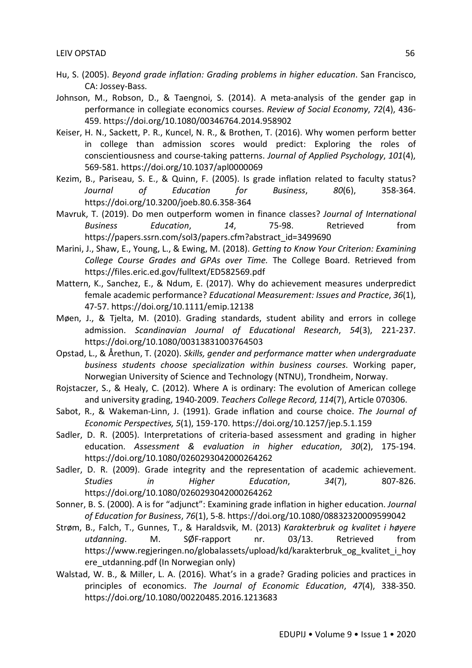- Hu, S. (2005). *Beyond grade inflation: Grading problems in higher education*. San Francisco, CA: Jossey-Bass.
- Johnson, M., Robson, D., & Taengnoi, S. (2014). A meta-analysis of the gender gap in performance in collegiate economics courses. *Review of Social Economy*, *72*(4), 436- 459. https://doi.org/10.1080/00346764.2014.958902
- Keiser, H. N., Sackett, P. R., Kuncel, N. R., & Brothen, T. (2016). Why women perform better in college than admission scores would predict: Exploring the roles of conscientiousness and course-taking patterns. *Journal of Applied Psychology*, *101*(4), 569-581. https://doi.org/10.1037/apl0000069
- Kezim, B., Pariseau, S. E., & Quinn, F. (2005). Is grade inflation related to faculty status? *Journal of Education for Business*, *80*(6), 358-364. https://doi.org/10.3200/joeb.80.6.358-364
- Mavruk, T. (2019). Do men outperform women in finance classes? *Journal of International Business Education*, *14*, 75-98. Retrieved from https://papers.ssrn.com/sol3/papers.cfm?abstract\_id=3499690
- Marini, J., Shaw, E., Young, L., & Ewing, M. (2018). *Getting to Know Your Criterion: Examining College Course Grades and GPAs over Time.* The College Board. Retrieved from https://files.eric.ed.gov/fulltext/ED582569.pdf
- Mattern, K., Sanchez, E., & Ndum, E. (2017). Why do achievement measures underpredict female academic performance? *Educational Measurement: Issues and Practice*, *36*(1), 47-57. https://doi.org/10.1111/emip.12138
- Møen, J., & Tjelta, M. (2010). Grading standards, student ability and errors in college admission. *Scandinavian Journal of Educational Research*, *54*(3), 221-237. https://doi.org/10.1080/00313831003764503
- Opstad, L., & Årethun, T. (2020). *Skills, gender and performance matter when undergraduate business students choose specialization within business courses*. Working paper, Norwegian University of Science and Technology (NTNU), Trondheim, Norway.
- Rojstaczer, S., & Healy, C. (2012). Where A is ordinary: The evolution of American college and university grading, 1940-2009. *Teachers College Record, 114*(7), Article 070306.
- Sabot, R., & Wakeman-Linn, J. (1991). Grade inflation and course choice. *The Journal of Economic Perspectives, 5*(1), 159-170. https://doi.org/10.1257/jep.5.1.159
- Sadler, D. R. (2005). Interpretations of criteria-based assessment and grading in higher education. *Assessment & evaluation in higher education*, *30*(2), 175-194. https://doi.org/10.1080/0260293042000264262
- Sadler, D. R. (2009). Grade integrity and the representation of academic achievement. *Studies in Higher Education*, *34*(7), 807-826. https://doi.org/10.1080/0260293042000264262
- Sonner, B. S. (2000). A is for "adjunct": Examining grade inflation in higher education. *Journal of Education for Business*, *76*(1), 5-8. https://doi.org/10.1080/08832320009599042
- Strøm, B., Falch, T., Gunnes, T., & Haraldsvik, M. (2013) *Karakterbruk og kvalitet i høyere utdanning*. M. SØF-rapport nr. 03/13. Retrieved from https://www.regjeringen.no/globalassets/upload/kd/karakterbruk\_og\_kvalitet\_i\_hoy ere utdanning.pdf (In Norwegian only)
- Walstad, W. B., & Miller, L. A. (2016). What's in a grade? Grading policies and practices in principles of economics. *The Journal of Economic Education*, *47*(4), 338-350. https://doi.org/10.1080/00220485.2016.1213683